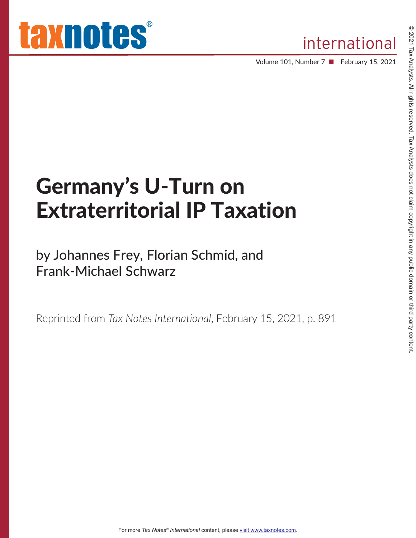

Volume 101, Number 7 ■ February 15, 2021

# Germany's U-Turn on Extraterritorial IP Taxation

by Johannes Frey, Florian Schmid, and Frank-Michael Schwarz

Reprinted from *Tax Notes International*, February 15, 2021, p. 891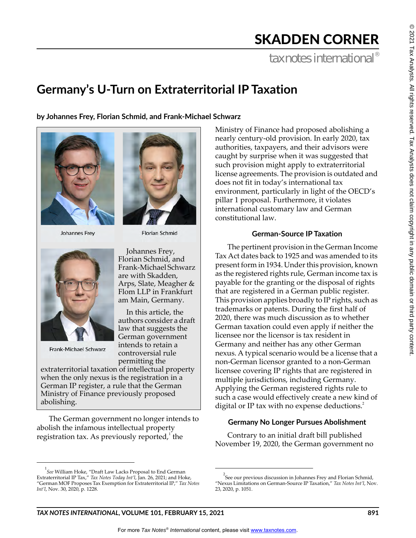# SKADDEN CORNER

tax notes international<sup>®</sup>

# **Germany's U-Turn on Extraterritorial IP Taxation**

**by Johannes Frey, Florian Schmid, and Frank-Michael Schwarz**

Ministry of Finance had proposed abolishing a nearly century-old provision. In early 2020, tax authorities, taxpayers, and their advisors were caught by surprise when it was suggested that such provision might apply to extraterritorial license agreements. The provision is outdated and does not fit in today's international tax environment, particularly in light of the OECD's pillar 1 proposal. Furthermore, it violates international customary law and German constitutional law.

## **German-Source IP Taxation**

The pertinent provision in the German Income Tax Act dates back to 1925 and was amended to its present form in 1934. Under this provision, known as the registered rights rule, German income tax is payable for the granting or the disposal of rights that are registered in a German public register. This provision applies broadly to IP rights, such as trademarks or patents. During the first half of 2020, there was much discussion as to whether German taxation could even apply if neither the licensee nor the licensor is tax resident in Germany and neither has any other German nexus. A typical scenario would be a license that a non-German licensor granted to a non-German licensee covering IP rights that are registered in multiple jurisdictions, including Germany. Applying the German registered rights rule to such a case would effectively create a new kind of digital or IP tax with no expense deductions. $^{2}$ 

# **Germany No Longer Pursues Abolishment**

Contrary to an initial draft bill published November 19, 2020, the German government no

Frank-Michael Schwarz

*Int'l*, Nov. 30, 2020, p. 1228.

Johannes Frey, Florian Schmid, and Frank-Michael Schwarz are with Skadden, Arps, Slate, Meagher & Flom LLP in Frankfurt am Main, Germany.

**Florian Schmid** 

In this article, the authors consider a draft law that suggests the German government intends to retain a controversial rule permitting the

extraterritorial taxation of intellectual property when the only nexus is the registration in a German IP register, a rule that the German Ministry of Finance previously proposed abolishing.

The German government no longer intends to abolish the infamous intellectual property registration tax. As previously reported, $^1$  the

1 *See* William Hoke, "Draft Law Lacks Proposal to End German Extraterritorial IP Tax," *Tax Notes Today Int'l*, Jan. 26, 2021; and Hoke, "German MOF Proposes Tax Exemption for Extraterritorial IP," *Tax Notes*  23, 2020, p. 1051.







**Johannes Frey** 



© 2021 Tax Analysts. All rights reserved. Tax Analysts does not claim copyright in any public domain or third party content.

© 2021 Tax Analysts. All rights reserved. Tax Analysts does not claim copyright in any public domain or third party content



 $2^2$ See our previous discussion in Johannes Frey and Florian Schmid, "Nexus Limitations on German-Source IP Taxation," *Tax Notes Int'l*, Nov.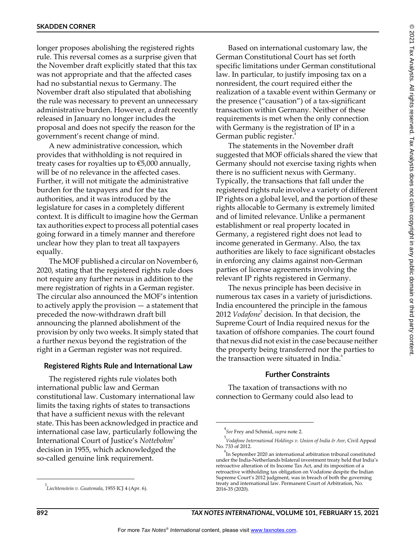longer proposes abolishing the registered rights rule. This reversal comes as a surprise given that the November draft explicitly stated that this tax was not appropriate and that the affected cases had no substantial nexus to Germany. The November draft also stipulated that abolishing the rule was necessary to prevent an unnecessary administrative burden. However, a draft recently released in January no longer includes the proposal and does not specify the reason for the government's recent change of mind.

A new administrative concession, which provides that withholding is not required in treaty cases for royalties up to  $\epsilon$ 5,000 annually, will be of no relevance in the affected cases. Further, it will not mitigate the administrative burden for the taxpayers and for the tax authorities, and it was introduced by the legislature for cases in a completely different context. It is difficult to imagine how the German tax authorities expect to process all potential cases going forward in a timely manner and therefore unclear how they plan to treat all taxpayers equally.

The MOF published a circular on November 6, 2020, stating that the registered rights rule does not require any further nexus in addition to the mere registration of rights in a German register. The circular also announced the MOF's intention to actively apply the provision — a statement that preceded the now-withdrawn draft bill announcing the planned abolishment of the provision by only two weeks. It simply stated that a further nexus beyond the registration of the right in a German register was not required.

#### **Registered Rights Rule and International Law**

The registered rights rule violates both international public law and German constitutional law. Customary international law limits the taxing rights of states to transactions that have a sufficient nexus with the relevant state. This has been acknowledged in practice and international case law, particularly following the International Court of Justice's *Nottebohm*<sup>3</sup> decision in 1955, which acknowledged the so-called genuine link requirement.

Based on international customary law, the German Constitutional Court has set forth specific limitations under German constitutional law. In particular, to justify imposing tax on a nonresident, the court required either the realization of a taxable event within Germany or the presence ("causation") of a tax-significant transaction within Germany. Neither of these requirements is met when the only connection with Germany is the registration of IP in a German public register.<sup>4</sup>

The statements in the November draft suggested that MOF officials shared the view that Germany should not exercise taxing rights when there is no sufficient nexus with Germany. Typically, the transactions that fall under the registered rights rule involve a variety of different IP rights on a global level, and the portion of these rights allocable to Germany is extremely limited and of limited relevance. Unlike a permanent establishment or real property located in Germany, a registered right does not lead to income generated in Germany. Also, the tax authorities are likely to face significant obstacles in enforcing any claims against non-German parties of license agreements involving the relevant IP rights registered in Germany.

The nexus principle has been decisive in numerous tax cases in a variety of jurisdictions. India encountered the principle in the famous 2012 *Vodafone*<sup>5</sup> decision. In that decision, the Supreme Court of India required nexus for the taxation of offshore companies. The court found that nexus did not exist in the case because neither the property being transferred nor the parties to the transaction were situated in India.<sup>6</sup>

#### **Further Constraints**

The taxation of transactions with no connection to Germany could also lead to

<sup>3</sup> *Liechtenstein v. Guatemala*, 1955 ICJ 4 (Apr. 6).

<sup>4</sup> *See* Frey and Schmid, *supra* note 2.

<sup>5</sup> *Vodafone International Holdings v. Union of India & Anr*, Civil Appeal No. 733 of 2012.

 $\mathrm{^{6}}$ In September 2020 an international arbitration tribunal constituted under the India-Netherlands bilateral investment treaty held that India's retroactive alteration of its Income Tax Act, and its imposition of a retroactive withholding tax obligation on Vodafone despite the Indian Supreme Court's 2012 judgment, was in breach of both the governing treaty and international law. Permanent Court of Arbitration, No. 2016-35 (2020).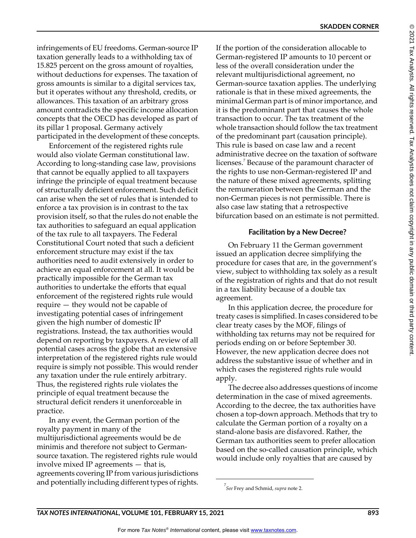infringements of EU freedoms. German-source IP taxation generally leads to a withholding tax of 15.825 percent on the gross amount of royalties, without deductions for expenses. The taxation of gross amounts is similar to a digital services tax, but it operates without any threshold, credits, or allowances. This taxation of an arbitrary gross amount contradicts the specific income allocation concepts that the OECD has developed as part of its pillar 1 proposal. Germany actively participated in the development of these concepts.

Enforcement of the registered rights rule would also violate German constitutional law. According to long-standing case law, provisions that cannot be equally applied to all taxpayers infringe the principle of equal treatment because of structurally deficient enforcement. Such deficit can arise when the set of rules that is intended to enforce a tax provision is in contrast to the tax provision itself, so that the rules do not enable the tax authorities to safeguard an equal application of the tax rule to all taxpayers. The Federal Constitutional Court noted that such a deficient enforcement structure may exist if the tax authorities need to audit extensively in order to achieve an equal enforcement at all. It would be practically impossible for the German tax authorities to undertake the efforts that equal enforcement of the registered rights rule would require — they would not be capable of investigating potential cases of infringement given the high number of domestic IP registrations. Instead, the tax authorities would depend on reporting by taxpayers. A review of all potential cases across the globe that an extensive interpretation of the registered rights rule would require is simply not possible. This would render any taxation under the rule entirely arbitrary. Thus, the registered rights rule violates the principle of equal treatment because the structural deficit renders it unenforceable in practice.

In any event, the German portion of the royalty payment in many of the multijurisdictional agreements would be de minimis and therefore not subject to Germansource taxation. The registered rights rule would involve mixed IP agreements — that is, agreements covering IP from various jurisdictions and potentially including different types of rights. If the portion of the consideration allocable to German-registered IP amounts to 10 percent or less of the overall consideration under the relevant multijurisdictional agreement, no German-source taxation applies. The underlying rationale is that in these mixed agreements, the minimal German part is of minor importance, and it is the predominant part that causes the whole transaction to occur. The tax treatment of the whole transaction should follow the tax treatment of the predominant part (causation principle). This rule is based on case law and a recent administrative decree on the taxation of software licenses.<sup>7</sup> Because of the paramount character of the rights to use non-German-registered IP and the nature of these mixed agreements, splitting the remuneration between the German and the non-German pieces is not permissible. There is also case law stating that a retrospective bifurcation based on an estimate is not permitted.

### **Facilitation by a New Decree?**

On February 11 the German government issued an application decree simplifying the procedure for cases that are, in the government's view, subject to withholding tax solely as a result of the registration of rights and that do not result in a tax liability because of a double tax agreement.

In this application decree, the procedure for treaty cases is simplified. In cases considered to be clear treaty cases by the MOF, filings of withholding tax returns may not be required for periods ending on or before September 30. However, the new application decree does not address the substantive issue of whether and in which cases the registered rights rule would apply.

The decree also addresses questions of income determination in the case of mixed agreements. According to the decree, the tax authorities have chosen a top-down approach. Methods that try to calculate the German portion of a royalty on a stand-alone basis are disfavored. Rather, the German tax authorities seem to prefer allocation based on the so-called causation principle, which would include only royalties that are caused by

<sup>7</sup> *See* Frey and Schmid, *supra* note 2.